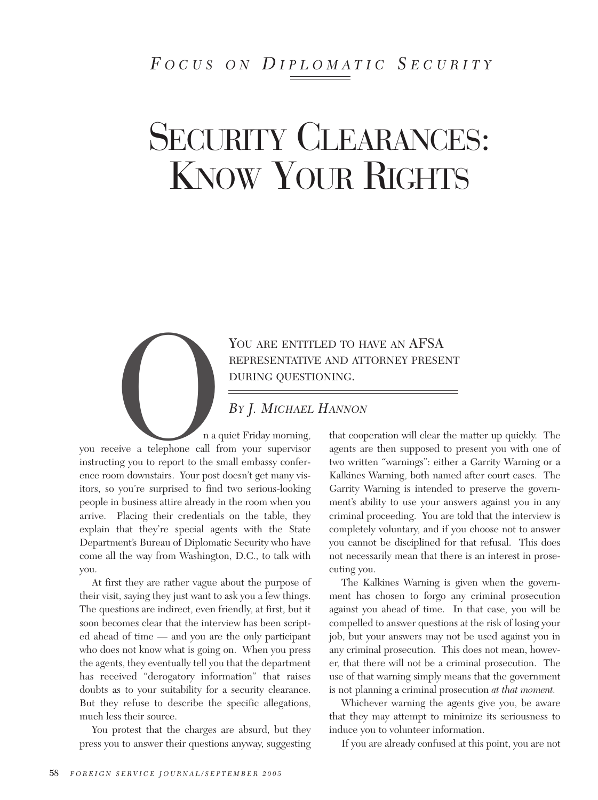## *F OCUS ON D IPLOMATIC S ECURITY*

# SECURITY CLEARANCES: KNOW YOUR RIGHTS

YOU ARE ENTITLED TO HAVE AN AFSA<br>
REPRESENTATIVE AND ATTORNEY PRESE!<br>
DURING QUESTIONING.<br>
BY J. MICHAEL HANNON<br>
n a quiet Friday morning, that cooperation will clear t<br>
eive a telephone call from your supervisor agents ar REPRESENTATIVE AND ATTORNEY PRESENT DURING QUESTIONING.

### *BY J. MICHAEL HANNON*

n a quiet Friday morning, you receive a telephone call from your supervisor instructing you to report to the small embassy conference room downstairs. Your post doesn't get many visitors, so you're surprised to find two serious-looking people in business attire already in the room when you arrive. Placing their credentials on the table, they explain that they're special agents with the State Department's Bureau of Diplomatic Security who have come all the way from Washington, D.C., to talk with you.

At first they are rather vague about the purpose of their visit, saying they just want to ask you a few things. The questions are indirect, even friendly, at first, but it soon becomes clear that the interview has been scripted ahead of time — and you are the only participant who does not know what is going on. When you press the agents, they eventually tell you that the department has received "derogatory information" that raises doubts as to your suitability for a security clearance. But they refuse to describe the specific allegations, much less their source.

You protest that the charges are absurd, but they press you to answer their questions anyway, suggesting that cooperation will clear the matter up quickly. The agents are then supposed to present you with one of two written "warnings": either a Garrity Warning or a Kalkines Warning, both named after court cases. The Garrity Warning is intended to preserve the government's ability to use your answers against you in any criminal proceeding. You are told that the interview is completely voluntary, and if you choose not to answer you cannot be disciplined for that refusal. This does not necessarily mean that there is an interest in prosecuting you.

The Kalkines Warning is given when the government has chosen to forgo any criminal prosecution against you ahead of time. In that case, you will be compelled to answer questions at the risk of losing your job, but your answers may not be used against you in any criminal prosecution. This does not mean, however, that there will not be a criminal prosecution. The use of that warning simply means that the government is not planning a criminal prosecution *at that moment.*

Whichever warning the agents give you, be aware that they may attempt to minimize its seriousness to induce you to volunteer information.

If you are already confused at this point, you are not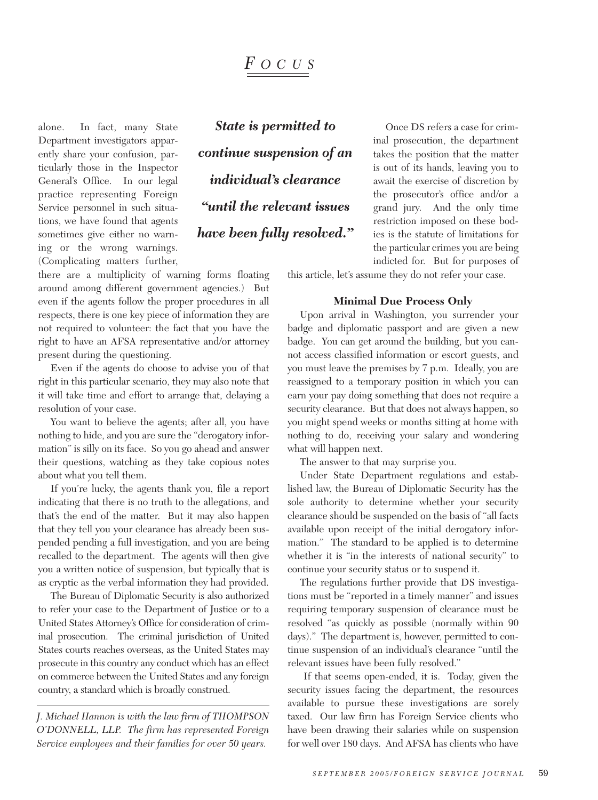## *F OCUS*

alone. In fact, many State Department investigators apparently share your confusion, particularly those in the Inspector General's Office. In our legal practice representing Foreign Service personnel in such situations, we have found that agents sometimes give either no warning or the wrong warnings. (Complicating matters further,

*State is permitted to continue suspension of an individual's clearance "until the relevant issues have been fully resolved."* 

Once DS refers a case for criminal prosecution, the department takes the position that the matter is out of its hands, leaving you to await the exercise of discretion by the prosecutor's office and/or a grand jury. And the only time restriction imposed on these bodies is the statute of limitations for the particular crimes you are being indicted for. But for purposes of

this article, let's assume they do not refer your case.

#### **Minimal Due Process Only**

Upon arrival in Washington, you surrender your badge and diplomatic passport and are given a new badge. You can get around the building, but you cannot access classified information or escort guests, and you must leave the premises by 7 p.m. Ideally, you are reassigned to a temporary position in which you can earn your pay doing something that does not require a security clearance. But that does not always happen, so you might spend weeks or months sitting at home with nothing to do, receiving your salary and wondering what will happen next.

The answer to that may surprise you.

Under State Department regulations and established law, the Bureau of Diplomatic Security has the sole authority to determine whether your security clearance should be suspended on the basis of "all facts available upon receipt of the initial derogatory information." The standard to be applied is to determine whether it is "in the interests of national security" to continue your security status or to suspend it.

The regulations further provide that DS investigations must be "reported in a timely manner" and issues requiring temporary suspension of clearance must be resolved "as quickly as possible (normally within 90 days)." The department is, however, permitted to continue suspension of an individual's clearance "until the relevant issues have been fully resolved."

If that seems open-ended, it is. Today, given the security issues facing the department, the resources available to pursue these investigations are sorely taxed. Our law firm has Foreign Service clients who have been drawing their salaries while on suspension for well over 180 days. And AFSA has clients who have

there are a multiplicity of warning forms floating around among different government agencies.) But even if the agents follow the proper procedures in all respects, there is one key piece of information they are not required to volunteer: the fact that you have the right to have an AFSA representative and/or attorney present during the questioning.

Even if the agents do choose to advise you of that right in this particular scenario, they may also note that it will take time and effort to arrange that, delaying a resolution of your case.

You want to believe the agents; after all, you have nothing to hide, and you are sure the "derogatory information" is silly on its face. So you go ahead and answer their questions, watching as they take copious notes about what you tell them.

If you're lucky, the agents thank you, file a report indicating that there is no truth to the allegations, and that's the end of the matter. But it may also happen that they tell you your clearance has already been suspended pending a full investigation, and you are being recalled to the department. The agents will then give you a written notice of suspension, but typically that is as cryptic as the verbal information they had provided.

The Bureau of Diplomatic Security is also authorized to refer your case to the Department of Justice or to a United States Attorney's Office for consideration of criminal prosecution. The criminal jurisdiction of United States courts reaches overseas, as the United States may prosecute in this country any conduct which has an effect on commerce between the United States and any foreign country, a standard which is broadly construed.

*J. Michael Hannon is with the law firm of THOMPSON O'DONNELL, LLP. The firm has represented Foreign Service employees and their families for over 50 years.*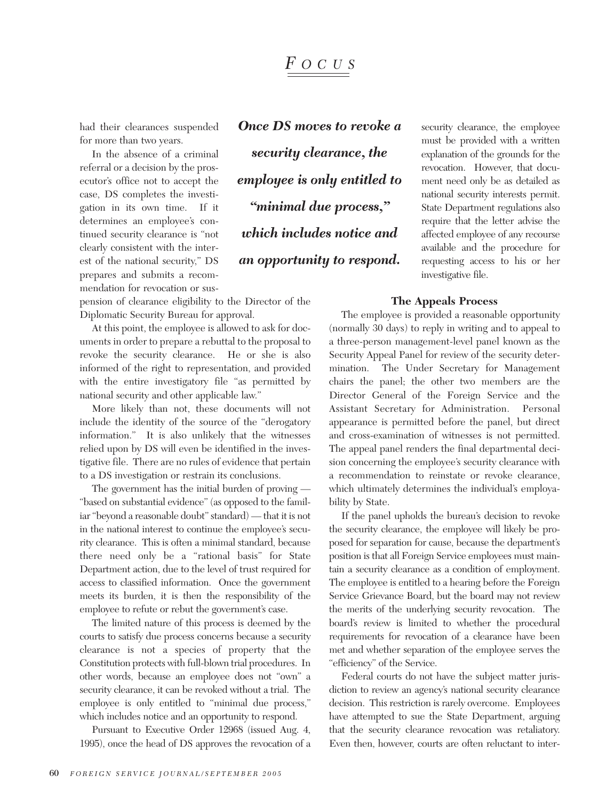## *F OCUS*

had their clearances suspended for more than two years.

In the absence of a criminal referral or a decision by the prosecutor's office not to accept the case, DS completes the investigation in its own time. If it determines an employee's continued security clearance is "not clearly consistent with the interest of the national security," DS prepares and submits a recommendation for revocation or sus*Once DS moves to revoke a security clearance, the employee is only entitled to "minimal due process," which includes notice and an opportunity to respond.*

security clearance, the employee must be provided with a written explanation of the grounds for the revocation. However, that document need only be as detailed as national security interests permit. State Department regulations also require that the letter advise the affected employee of any recourse available and the procedure for requesting access to his or her investigative file.

#### **The Appeals Process**

pension of clearance eligibility to the Director of the Diplomatic Security Bureau for approval.

At this point, the employee is allowed to ask for documents in order to prepare a rebuttal to the proposal to revoke the security clearance. He or she is also informed of the right to representation, and provided with the entire investigatory file "as permitted by national security and other applicable law."

More likely than not, these documents will not include the identity of the source of the "derogatory information." It is also unlikely that the witnesses relied upon by DS will even be identified in the investigative file. There are no rules of evidence that pertain to a DS investigation or restrain its conclusions.

The government has the initial burden of proving — "based on substantial evidence" (as opposed to the familiar "beyond a reasonable doubt" standard) — that it is not in the national interest to continue the employee's security clearance. This is often a minimal standard, because there need only be a "rational basis" for State Department action, due to the level of trust required for access to classified information. Once the government meets its burden, it is then the responsibility of the employee to refute or rebut the government's case.

The limited nature of this process is deemed by the courts to satisfy due process concerns because a security clearance is not a species of property that the Constitution protects with full-blown trial procedures. In other words, because an employee does not "own" a security clearance, it can be revoked without a trial. The employee is only entitled to "minimal due process," which includes notice and an opportunity to respond.

Pursuant to Executive Order 12968 (issued Aug. 4, 1995), once the head of DS approves the revocation of a

The employee is provided a reasonable opportunity (normally 30 days) to reply in writing and to appeal to a three-person management-level panel known as the Security Appeal Panel for review of the security determination. The Under Secretary for Management chairs the panel; the other two members are the Director General of the Foreign Service and the Assistant Secretary for Administration. Personal appearance is permitted before the panel, but direct and cross-examination of witnesses is not permitted. The appeal panel renders the final departmental decision concerning the employee's security clearance with a recommendation to reinstate or revoke clearance, which ultimately determines the individual's employability by State.

If the panel upholds the bureau's decision to revoke the security clearance, the employee will likely be proposed for separation for cause, because the department's position is that all Foreign Service employees must maintain a security clearance as a condition of employment. The employee is entitled to a hearing before the Foreign Service Grievance Board, but the board may not review the merits of the underlying security revocation. The board's review is limited to whether the procedural requirements for revocation of a clearance have been met and whether separation of the employee serves the "efficiency" of the Service.

Federal courts do not have the subject matter jurisdiction to review an agency's national security clearance decision. This restriction is rarely overcome. Employees have attempted to sue the State Department, arguing that the security clearance revocation was retaliatory. Even then, however, courts are often reluctant to inter-